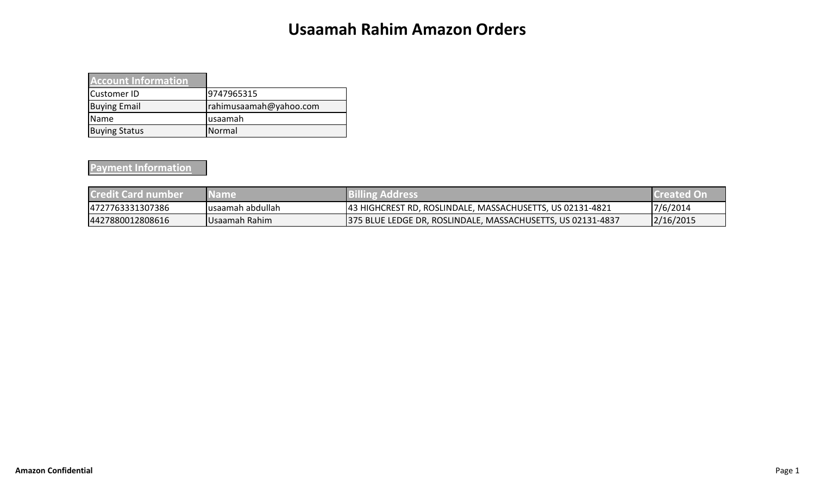## **Usaamah Rahim Amazon Orders**

| <b>Account Information</b> |                        |
|----------------------------|------------------------|
| <b>Customer ID</b>         | 9747965315             |
| <b>Buying Email</b>        | rahimusaamah@yahoo.com |
| <b>Name</b>                | usaamah                |
| <b>Buying Status</b>       | Normal                 |

## **Payment Information**

| <b>Credit Card number</b> | <b>Name</b>       | <b>Billing Address</b>                                      | <b>Created On</b> |
|---------------------------|-------------------|-------------------------------------------------------------|-------------------|
| 4727763331307386          | lusaamah abdullah | 43 HIGHCREST RD, ROSLINDALE, MASSACHUSETTS, US 02131-4821   | 7/6/2014          |
| 4427880012808616          | Usaamah Rahim     | 375 BLUE LEDGE DR, ROSLINDALE, MASSACHUSETTS, US 02131-4837 | 2/16/2015         |